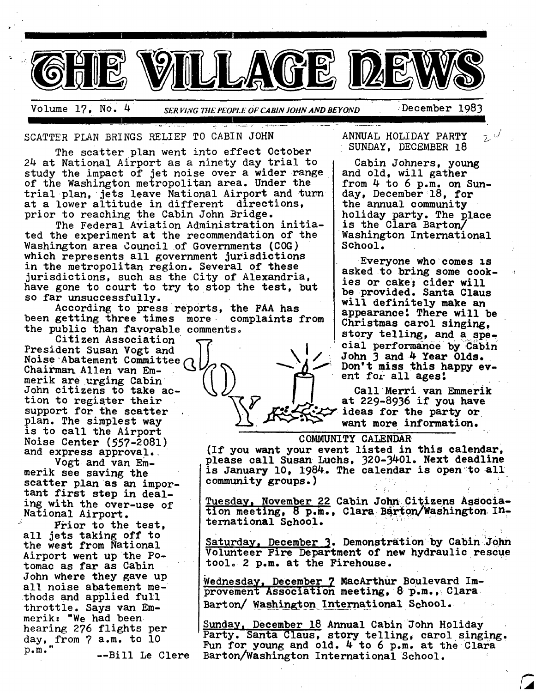

**I** 

Volume 17, NO. 4 *SER VI;CG THE PEOPI.E OF CABIN JOHN AND BEYOND* ~December 1983

SCATTER PLAN BRINGS RELIEF TO CABIN JOHN

The scatter plan went into effect October 24 at National Airport as a ninety day trial to study the impact of jet noise over a wider range of the Washington metropolitan area. Under the trial plan, jets leave National Airport and turn at a lower altitude in different directions, prior to reaching the Cabin John Bridge.

The Federal Aviation Administration initiated the experiment at the recommendation of the Washington area Council of Governments (COG) which represents all government jurisdictions in the metropolitan region. Several of these jurisdictions, such as the City of Alexandria, have gone to court to try to stop the test, but so far unsuccessfully.

According to press reports, the FAA has been getting three times more complaints from the public than favorable comments.

Citizen Association President Susan Vogt and Noise Abatement Committee Chairman Allen van Emmerik are urging Cabin John citizens to take action to register their support for the scatter plan. The simplest way is to call the Airport Noise Center (557-2081) and express approval.

Vogt and van Emmerik see saving the scatter plan as an important first step in dealing with the over-use of National Airport.

Frior to the test, all jets taking off to the west from National Airport went up the Potomac as far as Cabin John where they gave up all noise abatement methods and applied full throttle. Says van Emmerik: "We had been hearing 276 flights per day, from 7 a.m. to l0  $p.m.$ " --Bill Le Clere ANNUAL HOLIDAY PARTY SUNDAY, DECEMBER 18

Cabin Johners, young and old, will gather from 4 to 6 p.m. on Sunday, December 18, for the annual community holiday party. The place is the Clara Barton/ Washington International School.

Everyone who comes is asked to bring some cookies or cake; cider will be provided. Santa Claus will definitely make an appearance: There will be Christmas carol singing, story telling, and a special performance by Cabin John 3 and.4 Year Olds. Don't miss this happy event for all ages!

Call Merri van Emmerik at 229-8936 if you have ideas for the party or want more information.

### **C OblMUNITY** CALENDAR

(If you want your event listed in this calendar, please call Susan Luchs, 320-3401. Next deadline is January i0, 1984. The calendar is 0pen:to all community groups.)

Tuesday, November 22 Cabin John~Citizens AsSociation meeting, 8 p.m., Clara Barton/Washington International School,

Saturday, December 3. Demonstration by Cabin John Volunteer Fire Department of new hydraulic rescue tool. 2 p.m. at the Firehouse.

Wednesday, December 7 MacArthur Boulevard Improvement Association meeting, 8 p.m., Clara Barton/ Washington International School. •

Sunday, December 18 Annual Cabin John Holiday Party. Santa Claus, story telling, carol singing. Fun for young and old. 4 to 6 p.m. at the Clara Barton/Washington International School.

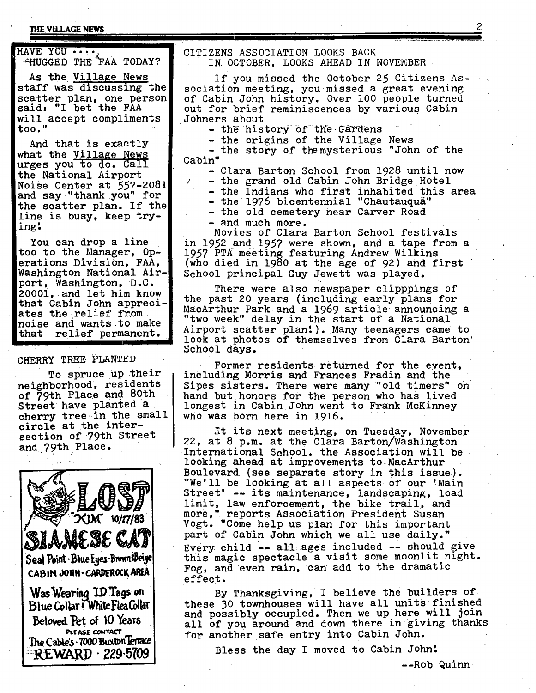# THE VILLAGE NEWS 22

**I** 

HAVE YOU  $\cdots$ .  $*$ HUGGED THE FAA TODAY?

AS the Village News staff was discussing the scatter plan, one person said: "I bet the FAA will accept compliments tOO."

And that is exactly what the Village News urges you to do. Call the National Airport Noise Center at 557-2081 and say "thankyou" for the scatter plan. If the line is busy, keep trying!

You can drop a line too to the Manager,  $Op$ erations Division, FAA, Washington National Airport, Washington, D.C. 20001, and let him know that Cabin John appreciates the relief from noise and wants:to make that relief permanent.

# CHERRY TREE PIANTED

To spruce up their neighborhood, residents of 79th Place and 80th Street have planted a cherry tree in the small circle at the intersection of 79th Street and 79th Place.



### CITIZENS ASSOCIATION LOOKS BACK IN OCTOBER, LOOKS AHEAD IN NOVEMBER

If you missed the October 25 Citizens Association meeting, you missed a great evening of Cabin John history. Over i00 people turned out for brief reminiscences by various Cabin Johners about

........................................................... II

- the history of the Gardens

- the origins of the Village News

- the story of the mysterious "John of the Cabin"

- Clara Barton School from 1928 until now
	- the grand old Cabin John Bridge Hotel
- the Indians who first inhabited this area

- the 1976 bicentennial "Chautauqua"

- the old cemetery near Carver Road **-** and much more.

Movies of Clara Barton School festivals in 1952 and *1957* were shown, and a tape *from a*  1957 PTA meeting featuring Andrew Wilkins (who died in 1980 at the age of 92) and first School principal Guy Jewett was played.

There were also newspaper clipppings of the past 20 years (including early plans for MacArthur Park and a 1969 article announcing a "two week" delay in the start of a National Airport scatter plan!). Many teenagers came to look at photos of themselves from Clara Barton School days.

Former residents returned for the event, including Morris and Frances Fradin and the Sipes sisters. There were many "old timers" on hand but honors for the person who has lived longest in Cabin John went to Frank McKinney who was born here in 1916.

At its next meeting, on Tuesday, November 22, at 8 p.m. at the Clara Barton/Washington International School, the Association will be looking ahead at improvements to~MacArthur Boulevard (see separate story in this issue). "We'll be looking at all aspects of our 'Main Street' -- its maintenance, landscaping, load limit, law enforcement, the bike trail, and<br>more," reports Association President Susan more," reports Association President Susan Vogt. "Come help us plan for this important part of Cabin John which we all use daily." Every child -- all ages included -- should give this magic spectacle a visit some moonlit night. Fog, and even rain, can add to the dramatic •effect.

By Thanksgiving, I believe the builders of these 30 townhouses will have all units finished and possibly occupied. Then we up here will join all of you around and down there in giving thanks for another safe entry into Cabin John.

Bless the day I moved to Cabin John!

--Rob Quinn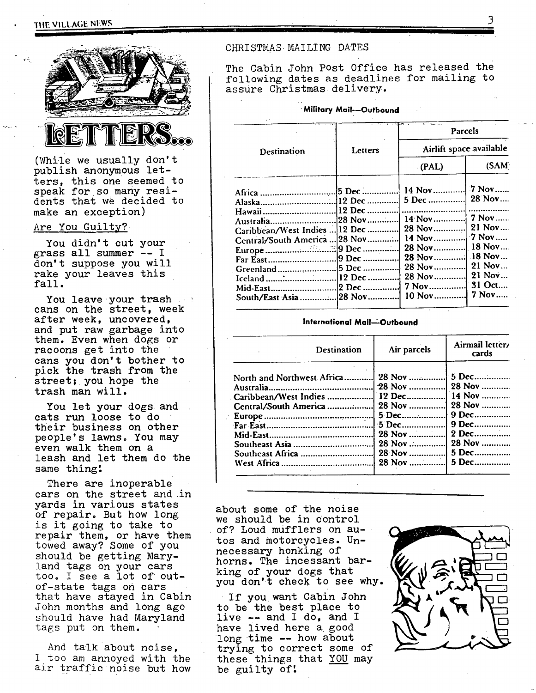# **3** Tlff. VILLAGE blFW.~



(While we usually don't publish anonymous letters, this one seemed to speak for so many residents that we decided to make an exception)

### Are You Guilty?

You didn't cut your grass all summer -- I don't suppose you will rake your leaves this fall.

You leave your trash cans on the street, week after week, uncovered, and put raw garbage into them. Even when dogs or racoons get into the cans you don't bother to pick the trash from the street; you hope the trash man will.

You let your dogs:and cats run loose to do their business on other people's lawns. You may even walk them on a leash and let them do the same thing!

There are inoperable cars on the street and in yards in various states of repair. But how long is it going to take to repair them, or have them towed away? Some of you should be getting Maryland tags on your cars too. I see a lot of outof-state tags on cars that have stayed in Cabin John months and long ago should have had Maryland tags put on them.

And talk about noise, I too am annoyed with the air traffic noise but how

### CHRISTMAS MAILING DATES

The Cabin John Post Office has released the following dates as deadlines for mailing to assure Christmas delivery.

### **Military Mail--Outbound**

|                                                              |                   | Parcels                                    |                                               |  |  |
|--------------------------------------------------------------|-------------------|--------------------------------------------|-----------------------------------------------|--|--|
| <b>Destination</b>                                           | Letters           | Airlift space available                    |                                               |  |  |
|                                                              |                   | (PAL)                                      | (SAM)                                         |  |  |
| Africa                                                       | 5 Dec             | 14 Nov<br>5 Dec                            | $7$ Nov<br>28 Nov                             |  |  |
| Australia<br>Caribbean/West Indies<br>Central/South America. | 28 Nov<br> 12 Dec | <br>$14$ Nov<br>28 Nov<br>14 Nov<br>28 Nov | 7 Nov<br>$21$ Nov<br>$\sqrt{7}$ Nov<br>18 Nov |  |  |
| Far East<br>Greenland                                        | 9 Dec<br>5 Dec    | 28 Nov<br>28 Nov<br>28 Nov<br>7 Nov        | $.18$ Nov<br>21 Nov<br>21 Nov<br>31 Oct       |  |  |
|                                                              |                   | 10 Nov                                     | 7 Nov                                         |  |  |

### **International Mail--Outbound**

| <b>Destination</b>            | Air parcels | Airmail letter/<br>cards |
|-------------------------------|-------------|--------------------------|
| North and Northwest Africa    | 28 Nov      | 5 Dec                    |
|                               | 28 Nov      | 28 Nov                   |
| Caribbean/West Indies  12 Dec |             | 14 Nov                   |
|                               |             | 28 Nov                   |
|                               | 5 Dec       | 9 Dec                    |
|                               | 5 Dec       | 9 Dec                    |
|                               | 28 Nov      | 2 Dec                    |
|                               | 28 Nov      | 28 Nov                   |
|                               | 28 Nov      | 5 Dec                    |
|                               |             | 5 Dec                    |

about some of the noise we should be in control of? Loud mufflers on autos and motorcycles. Unnecessary honking of horns. The incessant barking of your dogs that you don't check to see why.

If you want Cabin John to be the best place to live -- and I do, and I have lived here a good long time -- how about trying to correct some of these things that YOU may be guilty of:

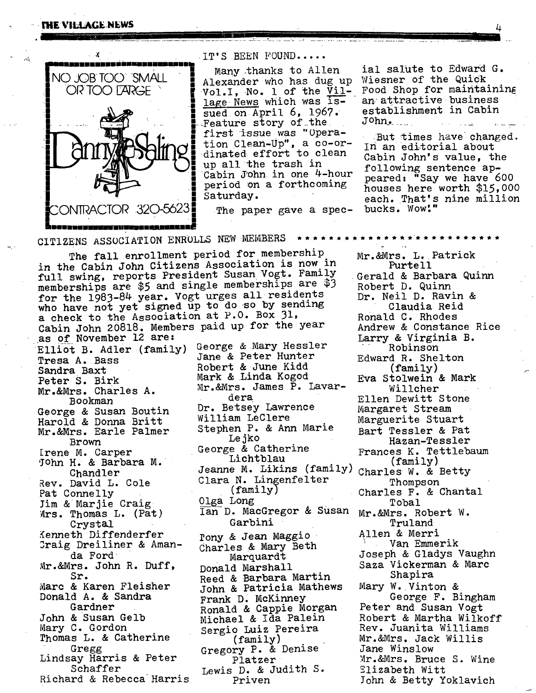### **//tHE VILLAGE NEWS** 4  $\mu$  **1**  $\mu$  **3**  $\mu$  **4**  $\mu$  **4**  $\mu$  **4**  $\mu$  **4**  $\mu$  **4**  $\mu$  **4**  $\mu$  **4**  $\mu$  **4**  $\mu$  **4**  $\mu$  **4**  $\mu$  **4**  $\mu$  **4**  $\mu$  **4**  $\mu$  **4**  $\mu$  **4**  $\mu$  **4**  $\mu$  **4**  $\mu$  **4**  $\mu$  **4**  $\mu$  **4**  $\mu$  **4**  $\mu$  **4**  $\mu$  **4**  $\mu$  **4**  $\mu$  **4**  $\mu$  **4**



**I l lli ~ "** 

NO JOB TOO SMALL | Alexander who has dug up<br>OR TOO LARGE Vol.I. No. 1 of the Vilsued on April  $6, 1967.$ Feature story of the first issue was "Operation Clean-Up", a co-ordinated effort to clean up all the trash in Cabin John in one 4-hour period on a forthcoming

Many.thanks to Allen ial salute to Edward G. Wiesner of the Quick Food Shop for maintaining an attractive business establishment in Cabin JOhn~ ..................... ~-

> But times have changed. in an editorial about Cabin John's value, the following sentence appeared: "Say we have 600 houses here worth \$15,000 each. That's nine million bucks. Wow!"

CITIZENS ASSOCIATION ENROLLS NEW MEMBERS

The fall enrollment period for membership in the Cabin John Citizens Association is now in full swing, reports President Susan Vogt. Family memberships are \$5 and single memberships are \$3 for the 1983-84 year. Vogt urges all residents who have not yet signed up to do so by sending a check to the Association at P.O. Box 31, Cabin John 20818. Members paid up for the year as of November 12 are: Elliot B, Adler (family) Tresa A. Bass Sandra Baxt Peter S. Birk Mr.&Mrs. Charles A. Bookman George & Susan Boutin Harold & Donna Britt Mr.&Mrs. Earle Palmer Brown Irene M. Carper 5ohn H. & Barbara M. Chandler Rev. David L. Cole Pat Connelly Jim & Marjie Craig  $Mrs.$  Thomas L. (Pat) Crystal Kenneth Diffenderfer Draig Dreiliner & Amanda Ford Mr.&Mrs. John R. Duff, Sr. Marc & Karen Fleisher Donald A. & Sandra Gardner John & Susan Gelb Mary C. Gordon Thomas L. & Catherine Gregg Lindsay Harris & Peter Schaffer Richard & Rebecca Harris George &.Mary Hessler Jane & Peter Hunter Robert & June Kidd Mark & Linda Kogod Mr. &Mrs. James P. Lavardera Dr. Betsey Lawrence William LeClere Stephen P. & Ann Marie Lejko George & Catherine Clara N. Lingenfelter Thompson Olga Long Ian D. MacGregor & Susan Garbini Tony & Jean Maggio ~ Charles & Mary Beth Marquardt Donald Marshall Reed & Barbara Martin John & Patricia Mathews Frank D. McKinney Ronald & Cappie Morgan Michael & Ida Palein Sergio Luiz Pereira (family) Gregory P. & Denise Platzer Lewis D. & Judith S. Priven

Mr.&Mrs. L. Patrick Purtell Gerald & Barbara Quinn Robert D. Quinn Dr. Neil D. Ravin & Claudia Reid Ronald C. Rhodes Andrew & Constance Rice Larry & Virginia B. Robinson Edward R. Shelton (family) Eva Stolwein & Mark Willcher Ellen Dewitt Stone Margaret Stream Marguerite Stuart Bart Tessler & Pat Hazan-Tessler Frances K. Tettlebaum Lichtblau (family) Jeanne M. Likins (family) Charles W. & Betty (family) Charles F. & Chantal Tobal Mr.&Mrs. Robert W. Truland Allen & Merri Van Emmerik Joseph & Gladys Vaughn Saza Vickerman & Marc Shapira Mary W. Vinton & George F. Bingham Peter and Susan Vogt Robert & Martha Wilkoff Rev. Juanita Williams Mr.&Mrs. Jack Willis Jane Winslow Mr.&Mrs. Bruce S. Wine Elizabeth Witt lohn & Betty Yoklavich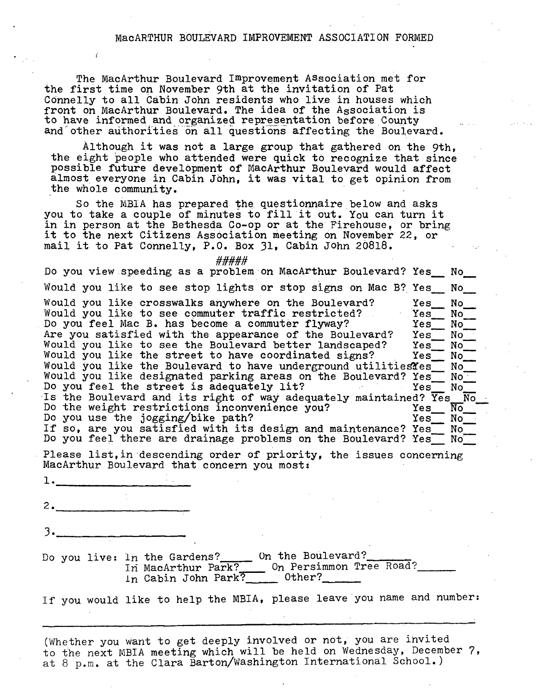## MacARTHUR BOULEVARD IMPROVEMENT ASSOCIATION FORMED

The MacArthur Boulevard Improvement ASsociation met for the first time on November 9th at the invitation of Pat Connelly to all Cabin John residents who live in houses which front on MacArthur Boulevard. The idea of the Association is to have informed and organized representation before County and other authorities on all questions affecting the Boulevard.

Although it was not a large group that gathered on the 9th, the eight people who attended were quick to recognize that since possible future development of MacArthur Boulevard would affect almost everyone in Cabin Jbhn, it was vital to get opinion from the whole community.

So the MBIA has prepared the questionnaire below and asks you to take a couple of minutes to fill it out. You can turn it in in person at the Bethesda Co-op or at the Firehouse, or bring it to the next Citizens Association meeting on November 22, or mail i± to Pat Connelly, P.O. Box 31, Cabin John 20818.

#####

| Do you view speeding as a problem on MacArthur Boulevard? Yes No                                                                                                                                                                                                                                                                                            |                                                         |
|-------------------------------------------------------------------------------------------------------------------------------------------------------------------------------------------------------------------------------------------------------------------------------------------------------------------------------------------------------------|---------------------------------------------------------|
| Would you like to see stop lights or stop signs on Mac B? Yes No                                                                                                                                                                                                                                                                                            |                                                         |
| Would you like crosswalks anywhere on the Boulevard?<br>Would you like to see commuter traffic restricted?<br>Do you feel Mac B. has become a commuter flyway?                                                                                                                                                                                              | $Yes$ No $\blacksquare$<br>Yes No<br>Yes No             |
| Are you satisfied with the appearance of the Boulevard?<br>Would you like to see the Boulevard better landscaped?<br>Would you like the street to have coordinated signs?<br>Would you like the Boulevard to have underground utilitiesYes<br>Would you like designated parking areas on the Boulevard? Yes No<br>Do you feel the street is adequately lit? | Yes No<br>Yes No<br>Yes<br>$\rm\,No$<br>No<br>Yes<br>No |
| Is the Boulevard and its right of way adequately maintained? Yes No                                                                                                                                                                                                                                                                                         |                                                         |
| Do the weight restrictions inconvenience you?<br>Do you use the jogging/bike path?                                                                                                                                                                                                                                                                          | $N_{\rm O}$<br>Yes<br>Yes No                            |
| If so, are you satisfied with its design and maintenance? Yes_ No<br>Do you feel there are drainage problems on the Boulevard? Yes No                                                                                                                                                                                                                       |                                                         |
| Please list, in descending order of priority, the issues concerning                                                                                                                                                                                                                                                                                         |                                                         |

MacArthur Boulevard that concern you most:

.

 $2.$ 

 $3.$ 

Do you live: In the Gardens?\_\_\_\_\_\_ On the Boulevard?\_ In MacArthur Park? On Persimmon Tree Road? In Cabin John Park?\_\_\_\_\_\_ Other?\_

If you would like to help the MBIA, please leave you name and number:

(Whether you want to get deeply involved or not, you are invited to the next MBIA meeting which will be held on Wednesday, December 7, at 8 p.m. at the Clara Barton/Washington International School.)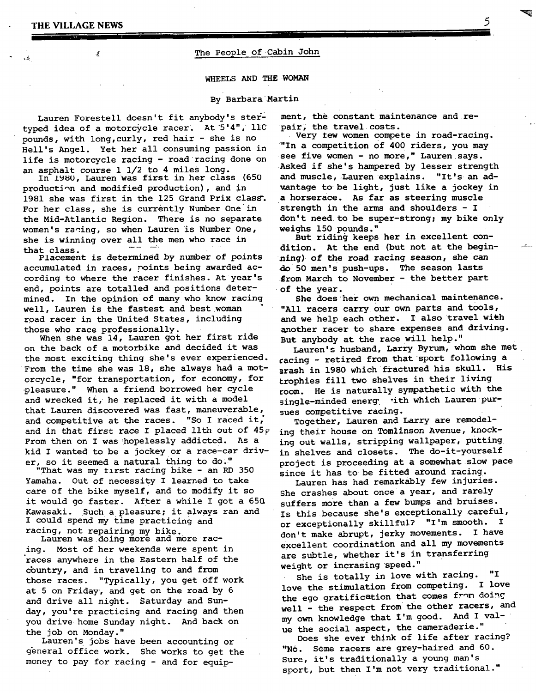### THE VILLAGE NEWS

 $\vec{f}$ 

# The People of Cabin John

### WHEELS AND THE WOMAN

### By Barbara Martin

Lauren Forestell doesn't fit anybody's stertyped idea of a motorcycle racer. At  $5'4"$ ,  $110'$ pounds, with long,curly, red hair - she is no Hell's Angel. Yet her all consuming passion in life is motorcycle racing - road racing done on an asphalt course 1 1/2 to 4 miles long.

In 1980, Lauren was first in her class (650 production and modified production), and in 1981 she was first in the 125 Grand Prix class. For her class, she is currently Number One in the Mid-Atlantic Region. There is no separate women's racing, so when Lauren is Number One, she is winning over all the men who race in

that class.<br>Placement is determined by number of points accumulated in races, points being awarded according to where the racer finishes. At year's end, points are totalled and positions determined. In the opinion of many who know racing well, Lauren is the fastest and best woman road racer in the United States, including those who race professionally.

When she was 14, Lauren got her first ride on the back of a motorbike and decided it was the most exciting thing she's ever experienced. From the time she was 18, she always had a mot- srash in 1980 which fractured his skull. His orcycle, "for transportation, for economy, for ~leasure." When a friend borrowed her cycle and wrecked it, he replaced it with a model that Lauren discovered was fast, maneuverable, and competitive at the races. "So I raced it, and in that first race I placed llth out of  $45\%$ From then on I was hopelessly addicted. As a kid I wanted to be a jockey or a race-car driver, so it seemed a natural thing to do."

"That was my tlrst racing bike - an RD 350 Yamaha. Out of necessity I learned to take care of the bike myself, and to modify it so it would go faster. After a while I got a 65Q Kawasaki. Such a pleasure; it always ran and I could spend my time practicing and racing, not repairing my bike.

Lauren was doing more and m0re racing. Most of her weekends were spent in races anywhere in the Eastern half of the country, and in traveling to and from those races. "Typically, you get Off work at 5 on Friday, and get on the road by 6 and drive all night. Saturday and Sunday, you're practicing and racing and then you drive home Sunday night. And back on the job on Monday."

Lauren's jobs have been accounting or general office work. She works to get the money to pay for racing - and for equip-

ment, the constant maintenance and repair; the travel costs.

Very tew women compete in road-racing. "In a competition of 400 riders, you may see five women - no more," Lauren says. Asked if she's hampered by lesser strength and muscle, Lauren explains. "It's an advantage to be light, just like a jockey in a horserace. As far as steering muscle strength in the arms and shoulders - I don't need to be super-strong; my bike only weighs 150 pounds."

But riding keeps her in excellent condition. At the end (but not at the beginning) of the road racing season, she can do 50 men's push-ups. The season lasts from March to November - the better part of the year.

She does her own mechanical maintenance. "All racers carry our own parts and tools, and we help each other. I also travel wieh another racer to share expenses and driving. But anybody at the race will help."

Lauren's husband, Larry Byrum, whom she met racing - retired from that sport following a trophies fill two shelves in their living room. He is naturally sympathetic with the single-minded energ vith which Lauren pursues competitive racing.

Together, Lauren and Larry are remodeling their house on Tomlinson Avenue, knocking out walls, stripping wallpaper, putting in shelves and closets. The do-it-yourself project is proceeding at a somewhat slow pace since it has to be fitted around racing.

Lauren has had remarkably few injuries. She crashes about once a year, and rarely suffers more than a few bumps and bruises. Is this because she's exceptionally careful, or exceptionally skillful? "I'm smooth. I don't make abrupt, jerky movements. I have excellent coordination and all my movements are subtle, whether it's in transferring weight or incrasing speed."

She is totally in love with racing. "I love the stimulation from competing. I love the ego gratification that comes from doing well - the respect from the other racers, and my own knowledge that I'm good. And I value the social aspect, the cameraderie."

Does she ever think of life after racing? "No. Some racers are grey-haired and 60. Sure, it's traditionally a young man's sport, but then I'm not very traditional."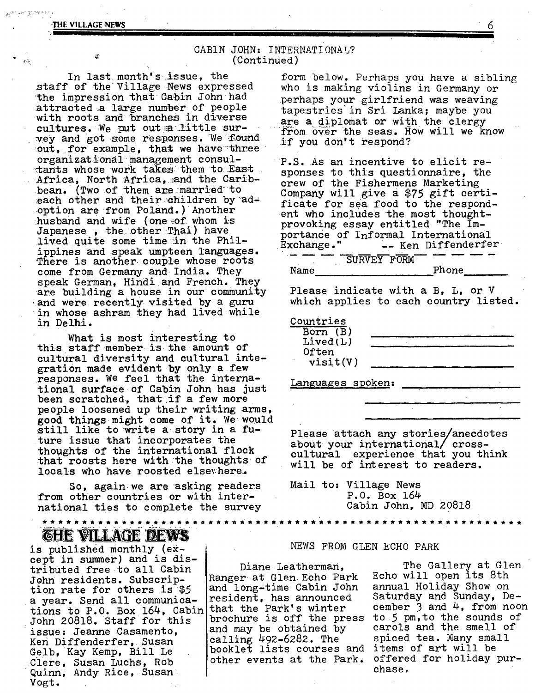@

 $\sim$  0.000  $\pm$ 

## CABIN JOHN: INTERNATIONAL? (Continued)

In last month's issue, the staff of the Village News expressed the impression that Cabin John had attracted a large number of people with roots and branches in diverse<br>cultures. We put out a little survey and got some responses. We found out, for example, that we have three organizational management consultants whose work takes them to East Africa, North Africa, and the Caribbean. (Two of them are married to each other and theirachildren by adoption are from Poland.) Another husband and wife (one:of whom is Japanese, the other Thai) have lived quite some time in the Philippines and speak umpteen Tanguages. There is another couple whose roots come from Germany and India. They speak German, Hindi and French. They are building a house in our community and were recently visited by a guru in whose ashram they had lived while in Delhi.

 $\ddot{\phantom{0}}$ 

What is most interesting to this staff member is the amount of cultural diversity and cultural integration made evident by only a few responses. We feel that the international surface of Cabin John has just been scratched, that if a few more people loosened up their writing arms, good things might come of it. We would still like to write a story in a future issue that incorporates the thoughts of the international flock that roosts here with the thoughts of locals who have roosted elsewhere.

So, againwe are asking readers from other countries or with international ties to complete the survey

# GHE VILLAGE DEWS

is published monthly (except in summer) and is distributed free to all Cabin John residents. Subscription rate for others is \$5 a year. Send all communications to P.O. Box 164, Cabin that the Park's winter John 20818. Staff for this issue: Jeanne Casamento, Ken Diffenderfer, Susan Gelb, Kay Kemp, Bill Le clere, Susan Luchs, Rob Quinn, Andy Rice, Susan Vogt.

form below. Perhaps you have a sibling who is making violins in Germany or perhaps your girlfriend was weaving tapestries in Sri Lanka; maybe you are a diplomat or with the clergy from over the seas. How will we know if you don't respond?

P.S. As an incentive to elicit responses to this questionnaire, the crew of the Fishermens Marketing Company will give a \$75 gift certificate for sea food to the respondent who includes the most thoughtprovoking essay entitled "The Importance of Informal International<br>Exchange." -- Ken Diffenderfe -- Ken Diffenderfer

|      | SURVEY FORM |       |  |  |
|------|-------------|-------|--|--|
| Name |             | Phone |  |  |

Please indicate with a B, L, or V which applies to each country listed.

| Countries            |  |
|----------------------|--|
| Born (B)<br>Lived(L) |  |
| Often                |  |
| visit(V)             |  |

Languages spoken:

Please attach any stories/anecdotes about your international/crosscultural experience that you think will be of interest to readers.

Mail to: Village News P.O. Box 164 Cabin John, MD 20818

### NEWS FROM GLEN ECHO PARK

Ranger at Glen Echo Park and long-time Cabin John annual Holiday Show on resident, has announced Saturday and Sunday, Debrochure is off the press to 5 pm,to the sounds of<br>and may be obtained by ac carols and the smell of and may be obtained by calling 492-6282. The spiced tea. Many small<br>booklet lists courses and items of art will be booklet lists courses and items of art will be<br>other events at the Park, offered for holiday purother events at the Park.

Diane Leatherman, The Gallery at Glen<br>r at Glen Echo Park Echo will open its 8th cember 3 and  $4$ , from noon chase.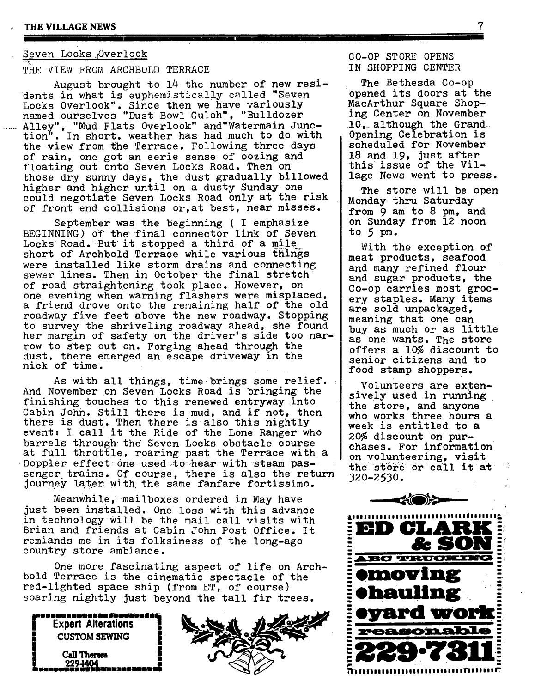## Seven Locks Overlook

THE VIEW FROM ARCHBOLD TERRACE

August brought to 14 the number of new residents in what is euphemistically called "Seven Locks Overlook". Since then we have variously named ourselves "Dust Bowl Gulch", "Bulldozer ...... Alley", "Mud Flats Overlook" and "Watermain Junc-<br>tion". In short, weather has had much to do with . In short, weather has had much to do with the view from the Terrace. Following three days of rain, one got an eerie sense of oozing and floating out onto Seven Locks Road. Then on those dry sunny days, the dust gradually billowed higher and higher until on a dusty Sunday one could negotiate Seven Locks Road only at the risk of front end collisions or,at best, near misses.

September was the beginning ( I emphasize BEGINNING) of the final connector link of Seven Locks Road. But it stopped a third of a mile short of Archbold Terrace while various things were installed like storm drains and connecting sewer lines. Then in October the final stretch of road straightening took place. However, on one evening when warning flashers were misplaced, a friend drove onto the remaining half of the old roadway five feet above the new roadway. Stopping to survey the shriveling roadway ahead, she found her margin of safety on the driver's side too narrow to step out on. Forging ahead through the dust, there emerged an escape driveway in the nick of time.

As with all things, time brings some relief. And November on Seven Locks Road is bringing the finishing touches to this renewed entryway into Cabin John. Still there is mud, and if not, then there is dust. Then there is also this nightly event: I call it the Ride of the Lone Ranger who barrels through the Seven Locks obstacle course at full throttle, roaring past the Terrace with a Doppler effect one used to hear with steam passenger trains. Of course, there is also the return journey later with the same fanfare fortissimo.

Meanwhile, mailboxes ordered in May have just been installed. One loss with this advance in technology will be the mail call visits with Brian and friends at Cabin John Post Office. It remiands me in its folksiness of the long-ago country store ambiance.

One more fascinating aspect of life on Archbold Terrace is the cinematic spectacle of the red-lighted space ship (from ET, of course) soaring nightly just beyond the tall fir trees.

**CUSTOM SEWING** 



CO-0P ST ORE OPENS IN SHOPPING CENTER

The Bethesda Co-op opened its doors at the MacArthur Square Shoping Center on November 10, although the Grand Opening Celebration is scheduled for November 18 and 19, just after this issue of the Village News went to press.

The store will be open Monday thru Saturday from 9 am to 8 pm, and on Sunday from 12 noon to 5 pm.

With the exception of meat products, seafood and many refined flour and sugar products, the Co-op carries most grocery staples. Many items are sold unpackaged, meaning that one can buy as much or as little as one wants. The store offers a 10% discount to senior citizens and to food stamp shoppers.

Volunteers are extensively used in running the store, and anyone who works three hours a week is entitled to a 20% discount on purchases. For information on volunteering, visit the store or call it at 320-2530.